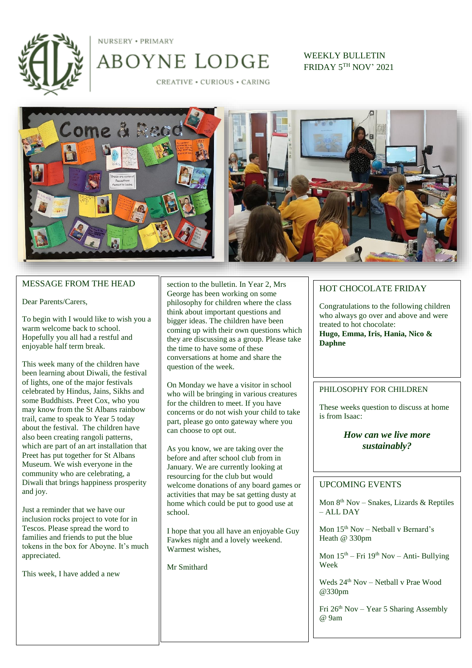

NURSERY . PRIMARY

CREATIVE . CURIOUS . CARING

ABOYNE LODGE

WEEKLY BULLETIN FRIDAY 5TH NOV' 2021



### MESSAGE FROM THE HEAD

Dear Parents/Carers,

To begin with I would like to wish you a warm welcome back to school. Hopefully you all had a restful and enjoyable half term break.

This week many of the children have been learning about Diwali, the festival of lights, one of the major festivals celebrated by Hindus, Jains, Sikhs and some Buddhists. Preet Cox, who you may know from the St Albans rainbow trail, came to speak to Year 5 today about the festival. The children have also been creating rangoli patterns, which are part of an art installation that Preet has put together for St Albans Museum. We wish everyone in the community who are celebrating, a Diwali that brings happiness prosperity and joy.

Just a reminder that we have our inclusion rocks project to vote for in Tescos. Please spread the word to families and friends to put the blue tokens in the box for Aboyne. It's much appreciated.

This week, I have added a new

section to the bulletin. In Year 2, Mrs George has been working on some philosophy for children where the class think about important questions and bigger ideas. The children have been coming up with their own questions which they are discussing as a group. Please take the time to have some of these conversations at home and share the question of the week.

On Monday we have a visitor in school who will be bringing in various creatures for the children to meet. If you have concerns or do not wish your child to take part, please go onto gateway where you can choose to opt out.

As you know, we are taking over the before and after school club from in January. We are currently looking at resourcing for the club but would welcome donations of any board games or activities that may be sat getting dusty at home which could be put to good use at school.

I hope that you all have an enjoyable Guy Fawkes night and a lovely weekend. Warmest wishes,

Mr Smithard

### HOT CHOCOLATE FRIDAY

Congratulations to the following children who always go over and above and were treated to hot chocolate: **Hugo, Emma, Iris, Hania, Nico &** 

**Daphne**

#### PHILOSOPHY FOR CHILDREN

These weeks question to discuss at home is from Isaac:

## *How can we live more sustainably?*

## UPCOMING EVENTS

Mon 8th Nov – Snakes, Lizards & Reptiles – ALL DAY

Mon  $15<sup>th</sup>$  Nov – Netball v Bernard's Heath @ 330pm

Mon 15th – Fri 19th Nov – Anti- Bullying Week

Weds  $24<sup>th</sup>$  Nov – Netball v Prae Wood @330pm

Fri  $26<sup>th</sup> Nov - Year 5 Sharing Assembly$ @ 9am